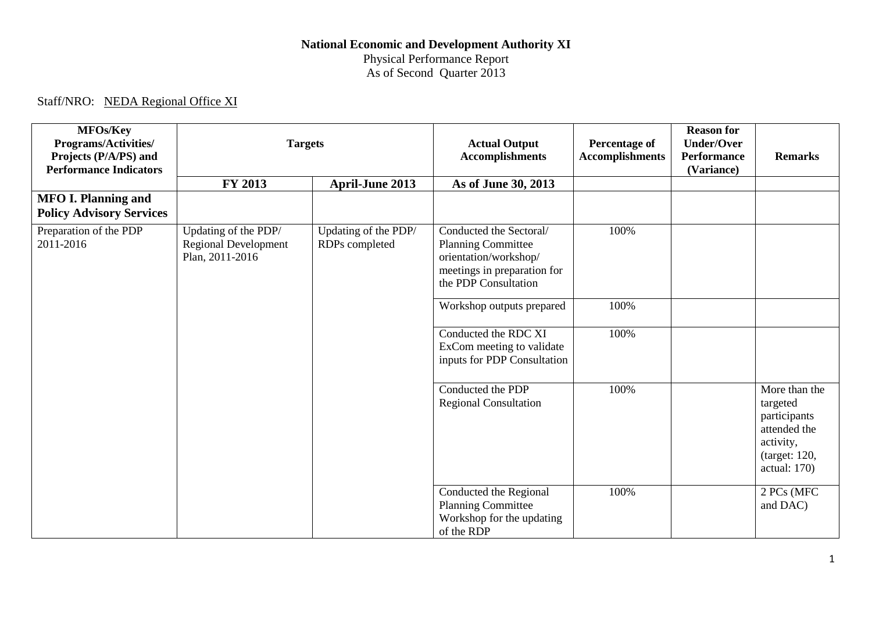## **National Economic and Development Authority XI** Physical Performance Report As of Second Quarter 2013

## Staff/NRO: NEDA Regional Office XI

| <b>MFOs/Key</b><br>Programs/Activities/<br>Projects (P/A/PS) and<br><b>Performance Indicators</b> | <b>Targets</b>                                                         |                                        | <b>Actual Output</b><br><b>Accomplishments</b>                                                                                       | <b>Percentage of</b><br><b>Accomplishments</b> | <b>Reason for</b><br><b>Under/Over</b><br><b>Performance</b><br>(Variance) | <b>Remarks</b>                                                                                          |
|---------------------------------------------------------------------------------------------------|------------------------------------------------------------------------|----------------------------------------|--------------------------------------------------------------------------------------------------------------------------------------|------------------------------------------------|----------------------------------------------------------------------------|---------------------------------------------------------------------------------------------------------|
|                                                                                                   | <b>FY 2013</b>                                                         | <b>April-June 2013</b>                 | As of June 30, 2013                                                                                                                  |                                                |                                                                            |                                                                                                         |
| <b>MFO I. Planning and</b><br><b>Policy Advisory Services</b>                                     |                                                                        |                                        |                                                                                                                                      |                                                |                                                                            |                                                                                                         |
| Preparation of the PDP<br>2011-2016                                                               | Updating of the PDP/<br><b>Regional Development</b><br>Plan, 2011-2016 | Updating of the PDP/<br>RDPs completed | Conducted the Sectoral/<br><b>Planning Committee</b><br>orientation/workshop/<br>meetings in preparation for<br>the PDP Consultation | 100%                                           |                                                                            |                                                                                                         |
|                                                                                                   |                                                                        |                                        | Workshop outputs prepared                                                                                                            | 100%                                           |                                                                            |                                                                                                         |
|                                                                                                   |                                                                        |                                        | Conducted the RDC XI<br>ExCom meeting to validate<br>inputs for PDP Consultation                                                     | 100%                                           |                                                                            |                                                                                                         |
|                                                                                                   |                                                                        |                                        | Conducted the PDP<br><b>Regional Consultation</b>                                                                                    | 100%                                           |                                                                            | More than the<br>targeted<br>participants<br>attended the<br>activity,<br>(target: 120,<br>actual: 170) |
|                                                                                                   |                                                                        |                                        | Conducted the Regional<br><b>Planning Committee</b><br>Workshop for the updating<br>of the RDP                                       | 100%                                           |                                                                            | 2 PCs (MFC<br>and DAC)                                                                                  |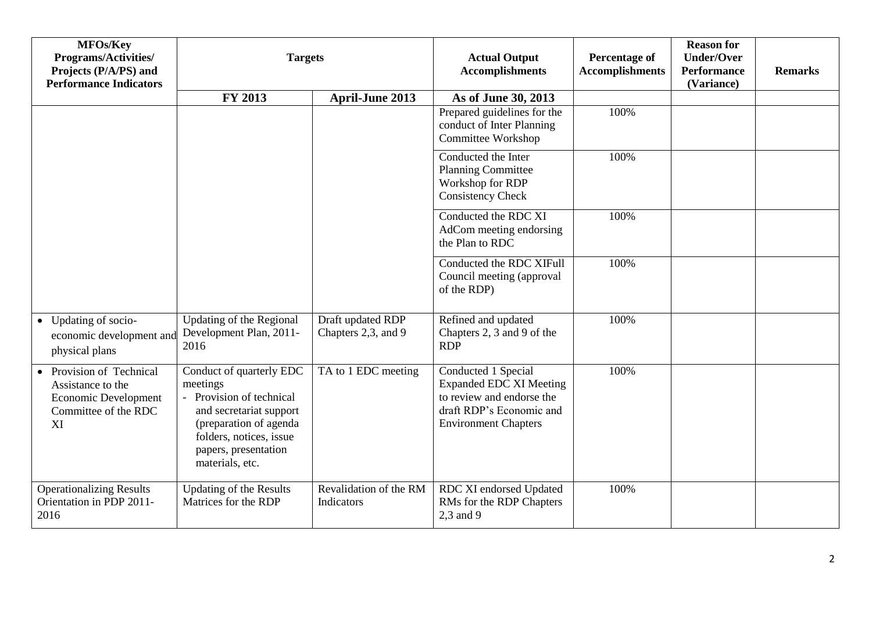| MFOs/Key<br><b>Programs/Activities/</b><br>Projects (P/A/PS) and<br><b>Performance Indicators</b>   | <b>Targets</b>                                                                                                                                                                              |                                          | <b>Actual Output</b><br><b>Accomplishments</b>                                                                                                | <b>Percentage of</b><br><b>Accomplishments</b> | <b>Reason for</b><br><b>Under/Over</b><br><b>Performance</b><br>(Variance) | <b>Remarks</b> |
|-----------------------------------------------------------------------------------------------------|---------------------------------------------------------------------------------------------------------------------------------------------------------------------------------------------|------------------------------------------|-----------------------------------------------------------------------------------------------------------------------------------------------|------------------------------------------------|----------------------------------------------------------------------------|----------------|
|                                                                                                     | FY 2013                                                                                                                                                                                     | <b>April-June 2013</b>                   | As of June 30, 2013                                                                                                                           |                                                |                                                                            |                |
|                                                                                                     |                                                                                                                                                                                             |                                          | Prepared guidelines for the<br>conduct of Inter Planning<br>Committee Workshop                                                                | 100%                                           |                                                                            |                |
|                                                                                                     |                                                                                                                                                                                             |                                          | Conducted the Inter<br><b>Planning Committee</b><br>Workshop for RDP<br><b>Consistency Check</b>                                              | 100%                                           |                                                                            |                |
|                                                                                                     |                                                                                                                                                                                             |                                          | Conducted the RDC XI<br>AdCom meeting endorsing<br>the Plan to RDC                                                                            | 100%                                           |                                                                            |                |
|                                                                                                     |                                                                                                                                                                                             |                                          | Conducted the RDC XIFull<br>Council meeting (approval<br>of the RDP)                                                                          | 100%                                           |                                                                            |                |
| • Updating of socio-<br>economic development and<br>physical plans                                  | Updating of the Regional<br>Development Plan, 2011-<br>2016                                                                                                                                 | Draft updated RDP<br>Chapters 2,3, and 9 | Refined and updated<br>Chapters 2, 3 and 9 of the<br><b>RDP</b>                                                                               | 100%                                           |                                                                            |                |
| • Provision of Technical<br>Assistance to the<br>Economic Development<br>Committee of the RDC<br>XI | Conduct of quarterly EDC<br>meetings<br>- Provision of technical<br>and secretariat support<br>(preparation of agenda<br>folders, notices, issue<br>papers, presentation<br>materials, etc. | TA to 1 EDC meeting                      | Conducted 1 Special<br><b>Expanded EDC XI Meeting</b><br>to review and endorse the<br>draft RDP's Economic and<br><b>Environment Chapters</b> | 100%                                           |                                                                            |                |
| <b>Operationalizing Results</b><br>Orientation in PDP 2011-<br>2016                                 | <b>Updating of the Results</b><br>Matrices for the RDP                                                                                                                                      | Revalidation of the RM<br>Indicators     | RDC XI endorsed Updated<br>RMs for the RDP Chapters<br>2,3 and 9                                                                              | 100%                                           |                                                                            |                |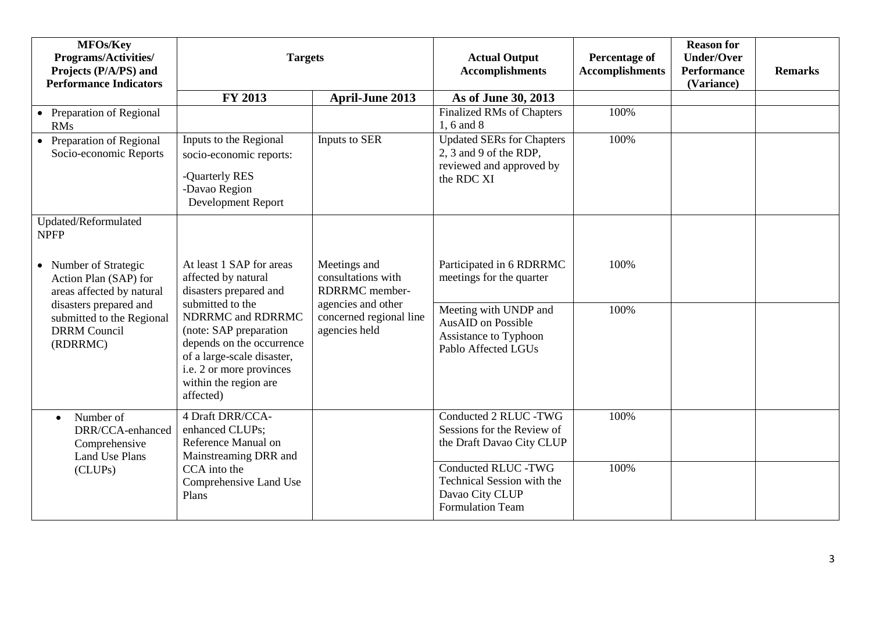| MFOs/Key<br><b>Programs/Activities/</b><br>Projects (P/A/PS) and<br><b>Performance Indicators</b> | <b>Targets</b>                                                                                                                                                           |                                                                | <b>Actual Output</b><br><b>Accomplishments</b>                                                                | <b>Percentage of</b><br><b>Accomplishments</b> | <b>Reason for</b><br><b>Under/Over</b><br><b>Performance</b><br>(Variance) | <b>Remarks</b> |
|---------------------------------------------------------------------------------------------------|--------------------------------------------------------------------------------------------------------------------------------------------------------------------------|----------------------------------------------------------------|---------------------------------------------------------------------------------------------------------------|------------------------------------------------|----------------------------------------------------------------------------|----------------|
|                                                                                                   | FY 2013                                                                                                                                                                  | <b>April-June 2013</b>                                         | As of June 30, 2013                                                                                           |                                                |                                                                            |                |
| • Preparation of Regional<br><b>RMs</b>                                                           |                                                                                                                                                                          |                                                                | <b>Finalized RMs of Chapters</b><br>1, 6 and 8                                                                | 100%                                           |                                                                            |                |
| • Preparation of Regional<br>Socio-economic Reports                                               | Inputs to the Regional<br>socio-economic reports:<br>-Quarterly RES<br>-Davao Region<br>Development Report                                                               | Inputs to SER                                                  | <b>Updated SERs for Chapters</b><br>2, 3 and 9 of the RDP,<br>reviewed and approved by<br>the RDC XI          | 100%                                           |                                                                            |                |
| Updated/Reformulated<br><b>NPFP</b>                                                               |                                                                                                                                                                          |                                                                |                                                                                                               |                                                |                                                                            |                |
| • Number of Strategic<br>Action Plan (SAP) for<br>areas affected by natural                       | At least 1 SAP for areas<br>affected by natural<br>disasters prepared and<br>submitted to the                                                                            | Meetings and<br>consultations with<br>RDRRMC member-           | Participated in 6 RDRRMC<br>meetings for the quarter                                                          | 100%                                           |                                                                            |                |
| disasters prepared and<br>submitted to the Regional<br><b>DRRM</b> Council<br>(RDRRMC)            | NDRRMC and RDRRMC<br>(note: SAP preparation<br>depends on the occurrence<br>of a large-scale disaster,<br>i.e. 2 or more provinces<br>within the region are<br>affected) | agencies and other<br>concerned regional line<br>agencies held | Meeting with UNDP and<br><b>AusAID</b> on Possible<br><b>Assistance to Typhoon</b><br>Pablo Affected LGUs     | 100%                                           |                                                                            |                |
| Number of<br>$\bullet$<br>DRR/CCA-enhanced<br>Comprehensive<br>Land Use Plans                     | 4 Draft DRR/CCA-<br>enhanced CLUPs;<br>Reference Manual on<br>Mainstreaming DRR and                                                                                      |                                                                | Conducted 2 RLUC -TWG<br>Sessions for the Review of<br>the Draft Davao City CLUP                              | 100%                                           |                                                                            |                |
| (CLUPs)                                                                                           | CCA into the<br>Comprehensive Land Use<br>Plans                                                                                                                          |                                                                | <b>Conducted RLUC -TWG</b><br><b>Technical Session with the</b><br>Davao City CLUP<br><b>Formulation Team</b> | 100%                                           |                                                                            |                |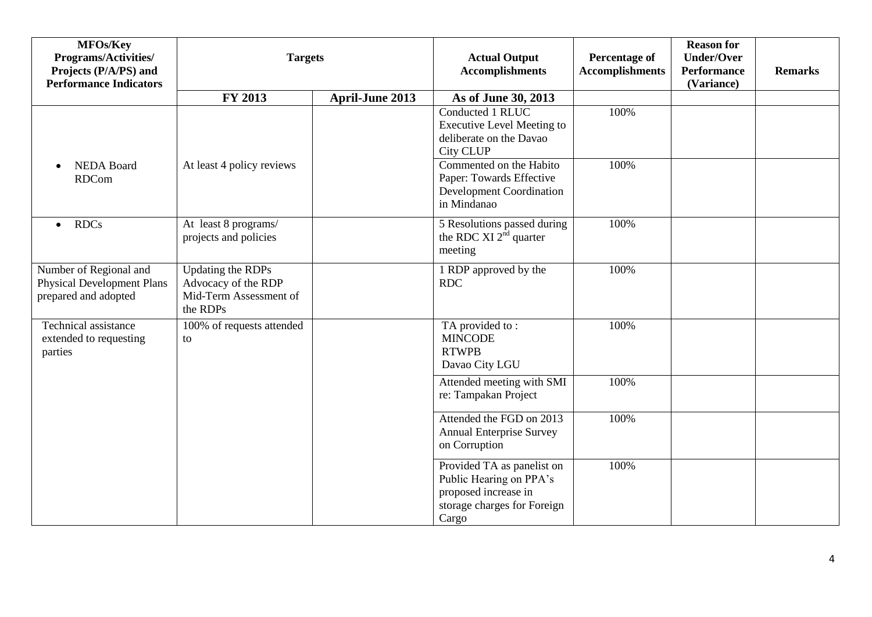| MFOs/Key<br>Programs/Activities/<br>Projects (P/A/PS) and<br><b>Performance Indicators</b> |                                                                                       | <b>Targets</b>         | <b>Actual Output</b><br><b>Accomplishments</b>                                                                        | <b>Percentage of</b><br><b>Accomplishments</b> | <b>Reason for</b><br><b>Under/Over</b><br><b>Performance</b><br>(Variance) | <b>Remarks</b> |
|--------------------------------------------------------------------------------------------|---------------------------------------------------------------------------------------|------------------------|-----------------------------------------------------------------------------------------------------------------------|------------------------------------------------|----------------------------------------------------------------------------|----------------|
|                                                                                            | FY 2013                                                                               | <b>April-June 2013</b> | As of June 30, 2013                                                                                                   |                                                |                                                                            |                |
|                                                                                            |                                                                                       |                        | Conducted 1 RLUC<br><b>Executive Level Meeting to</b><br>deliberate on the Davao<br>City CLUP                         | 100%                                           |                                                                            |                |
| <b>NEDA Board</b><br>$\bullet$<br><b>RDCom</b>                                             | At least 4 policy reviews                                                             |                        | Commented on the Habito<br>Paper: Towards Effective<br><b>Development Coordination</b><br>in Mindanao                 | 100%                                           |                                                                            |                |
| <b>RDCs</b><br>$\bullet$                                                                   | At least 8 programs/<br>projects and policies                                         |                        | 5 Resolutions passed during<br>the RDC XI 2 <sup>nd</sup> quarter<br>meeting                                          | 100%                                           |                                                                            |                |
| Number of Regional and<br><b>Physical Development Plans</b><br>prepared and adopted        | <b>Updating the RDPs</b><br>Advocacy of the RDP<br>Mid-Term Assessment of<br>the RDPs |                        | 1 RDP approved by the<br><b>RDC</b>                                                                                   | 100%                                           |                                                                            |                |
| Technical assistance<br>extended to requesting<br>parties                                  | 100% of requests attended<br>to                                                       |                        | TA provided to:<br><b>MINCODE</b><br><b>RTWPB</b><br>Davao City LGU                                                   | 100%                                           |                                                                            |                |
|                                                                                            |                                                                                       |                        | Attended meeting with SMI<br>re: Tampakan Project                                                                     | 100%                                           |                                                                            |                |
|                                                                                            |                                                                                       |                        | Attended the FGD on 2013<br><b>Annual Enterprise Survey</b><br>on Corruption                                          | 100%                                           |                                                                            |                |
|                                                                                            |                                                                                       |                        | Provided TA as panelist on<br>Public Hearing on PPA's<br>proposed increase in<br>storage charges for Foreign<br>Cargo | 100%                                           |                                                                            |                |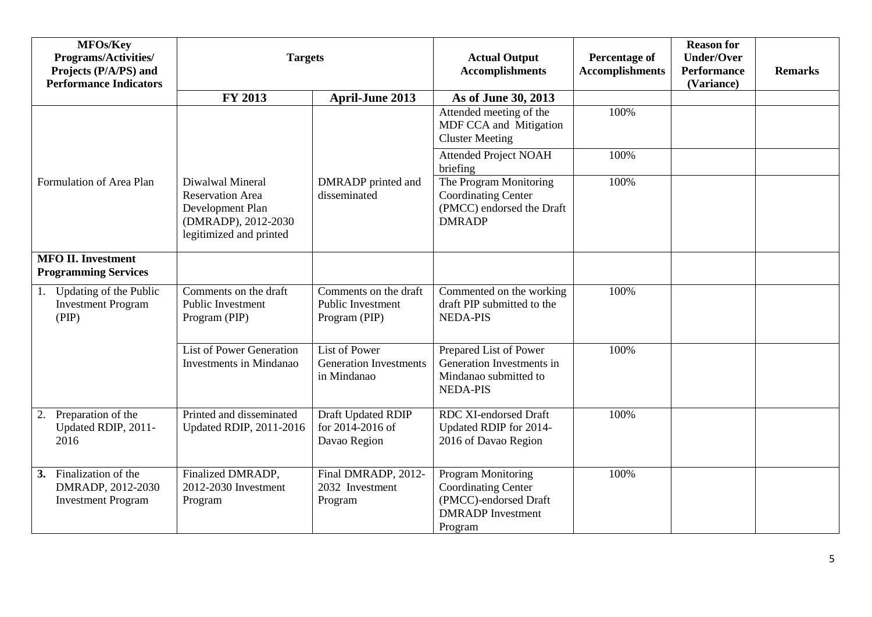| MFOs/Key<br><b>Programs/Activities/</b><br>Projects (P/A/PS) and<br><b>Performance Indicators</b> | <b>Targets</b>                                                                                                    |                                                                      | <b>Actual Output</b><br><b>Accomplishments</b>                                                                          | <b>Percentage of</b><br><b>Accomplishments</b> | <b>Reason for</b><br><b>Under/Over</b><br><b>Performance</b><br>(Variance) | <b>Remarks</b> |
|---------------------------------------------------------------------------------------------------|-------------------------------------------------------------------------------------------------------------------|----------------------------------------------------------------------|-------------------------------------------------------------------------------------------------------------------------|------------------------------------------------|----------------------------------------------------------------------------|----------------|
|                                                                                                   | FY 2013                                                                                                           | <b>April-June 2013</b>                                               | As of June 30, 2013                                                                                                     |                                                |                                                                            |                |
|                                                                                                   |                                                                                                                   |                                                                      | Attended meeting of the<br>MDF CCA and Mitigation<br><b>Cluster Meeting</b>                                             | 100%                                           |                                                                            |                |
|                                                                                                   |                                                                                                                   |                                                                      | <b>Attended Project NOAH</b><br>briefing                                                                                | 100%                                           |                                                                            |                |
| Formulation of Area Plan                                                                          | Diwalwal Mineral<br><b>Reservation Area</b><br>Development Plan<br>(DMRADP), 2012-2030<br>legitimized and printed | DMRADP printed and<br>disseminated                                   | The Program Monitoring<br><b>Coordinating Center</b><br>(PMCC) endorsed the Draft<br><b>DMRADP</b>                      | 100%                                           |                                                                            |                |
| <b>MFO II. Investment</b><br><b>Programming Services</b>                                          |                                                                                                                   |                                                                      |                                                                                                                         |                                                |                                                                            |                |
| Updating of the Public<br>1.<br><b>Investment Program</b><br>(PIP)                                | Comments on the draft<br>Public Investment<br>Program (PIP)                                                       | Comments on the draft<br>Public Investment<br>Program (PIP)          | Commented on the working<br>draft PIP submitted to the<br><b>NEDA-PIS</b>                                               | 100%                                           |                                                                            |                |
|                                                                                                   | <b>List of Power Generation</b><br><b>Investments in Mindanao</b>                                                 | <b>List of Power</b><br><b>Generation Investments</b><br>in Mindanao | Prepared List of Power<br>Generation Investments in<br>Mindanao submitted to<br><b>NEDA-PIS</b>                         | 100%                                           |                                                                            |                |
| 2. Preparation of the<br>Updated RDIP, 2011-<br>2016                                              | Printed and disseminated<br><b>Updated RDIP, 2011-2016</b>                                                        | Draft Updated RDIP<br>for 2014-2016 of<br>Davao Region               | <b>RDC XI-endorsed Draft</b><br>Updated RDIP for 2014-<br>2016 of Davao Region                                          | 100%                                           |                                                                            |                |
| Finalization of the<br>3.<br>DMRADP, 2012-2030<br><b>Investment Program</b>                       | Finalized DMRADP,<br>2012-2030 Investment<br>Program                                                              | Final DMRADP, 2012-<br>2032 Investment<br>Program                    | <b>Program Monitoring</b><br><b>Coordinating Center</b><br>(PMCC)-endorsed Draft<br><b>DMRADP</b> Investment<br>Program | 100%                                           |                                                                            |                |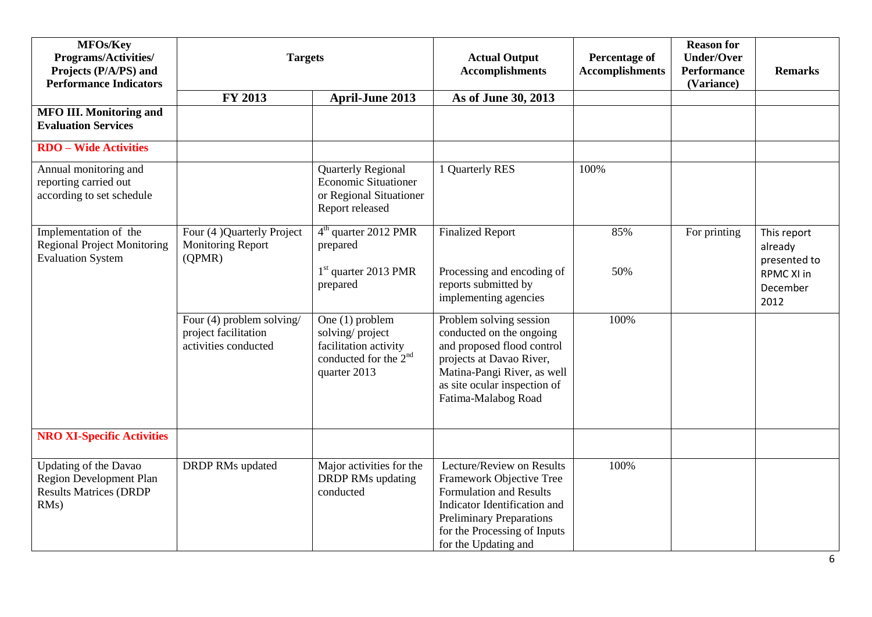| MFOs/Key<br>Programs/Activities/<br>Projects (P/A/PS) and<br><b>Performance Indicators</b>       | <b>Targets</b>                                                            |                                                                                                                  | <b>Actual Output</b><br><b>Accomplishments</b>                                                                                                                                                              | <b>Percentage of</b><br><b>Accomplishments</b> | <b>Reason for</b><br><b>Under/Over</b><br><b>Performance</b><br>(Variance) | <b>Remarks</b>                                                           |
|--------------------------------------------------------------------------------------------------|---------------------------------------------------------------------------|------------------------------------------------------------------------------------------------------------------|-------------------------------------------------------------------------------------------------------------------------------------------------------------------------------------------------------------|------------------------------------------------|----------------------------------------------------------------------------|--------------------------------------------------------------------------|
|                                                                                                  | FY 2013                                                                   | <b>April-June 2013</b>                                                                                           | As of June 30, 2013                                                                                                                                                                                         |                                                |                                                                            |                                                                          |
| <b>MFO III. Monitoring and</b><br><b>Evaluation Services</b>                                     |                                                                           |                                                                                                                  |                                                                                                                                                                                                             |                                                |                                                                            |                                                                          |
| <b>RDO</b> – Wide Activities                                                                     |                                                                           |                                                                                                                  |                                                                                                                                                                                                             |                                                |                                                                            |                                                                          |
| Annual monitoring and<br>reporting carried out<br>according to set schedule                      |                                                                           | <b>Quarterly Regional</b><br><b>Economic Situationer</b><br>or Regional Situationer<br>Report released           | 1 Quarterly RES                                                                                                                                                                                             | 100%                                           |                                                                            |                                                                          |
| Implementation of the<br><b>Regional Project Monitoring</b><br><b>Evaluation System</b>          | Four (4) Quarterly Project<br><b>Monitoring Report</b><br>(QPMR)          | $4th$ quarter 2012 PMR<br>prepared<br>$1st$ quarter 2013 PMR<br>prepared                                         | <b>Finalized Report</b><br>Processing and encoding of<br>reports submitted by<br>implementing agencies                                                                                                      | 85%<br>50%                                     | For printing                                                               | This report<br>already<br>presented to<br>RPMC XI in<br>December<br>2012 |
|                                                                                                  | Four (4) problem solving/<br>project facilitation<br>activities conducted | One (1) problem<br>solving/project<br>facilitation activity<br>conducted for the 2 <sup>nd</sup><br>quarter 2013 | Problem solving session<br>conducted on the ongoing<br>and proposed flood control<br>projects at Davao River,<br>Matina-Pangi River, as well<br>as site ocular inspection of<br>Fatima-Malabog Road         | 100%                                           |                                                                            |                                                                          |
| <b>NRO XI-Specific Activities</b>                                                                |                                                                           |                                                                                                                  |                                                                                                                                                                                                             |                                                |                                                                            |                                                                          |
| Updating of the Davao<br><b>Region Development Plan</b><br><b>Results Matrices (DRDP</b><br>RMs) | <b>DRDP RMs updated</b>                                                   | Major activities for the<br><b>DRDP RMs updating</b><br>conducted                                                | Lecture/Review on Results<br>Framework Objective Tree<br>Formulation and Results<br>Indicator Identification and<br><b>Preliminary Preparations</b><br>for the Processing of Inputs<br>for the Updating and | 100%                                           |                                                                            |                                                                          |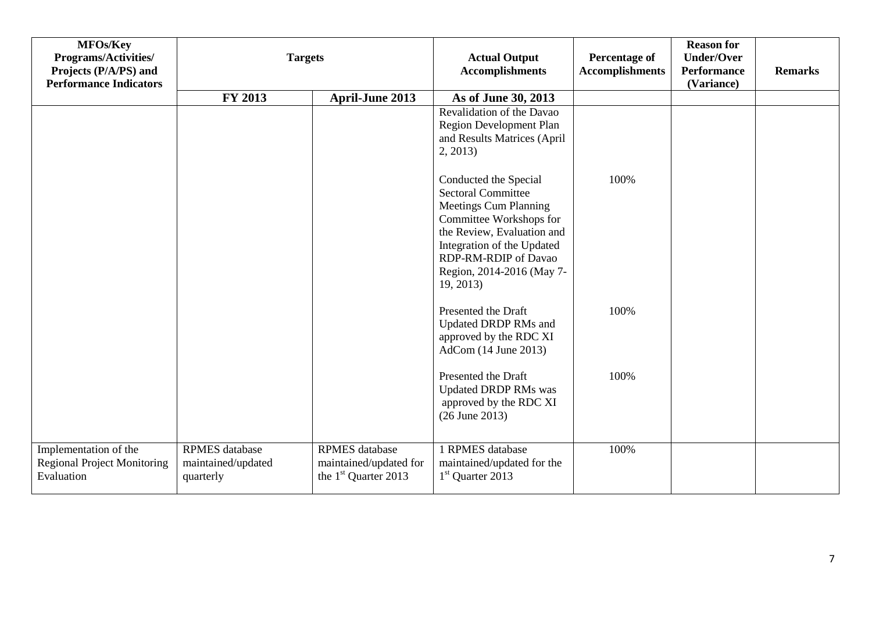| MFOs/Key<br>Programs/Activities/<br>Projects (P/A/PS) and<br><b>Performance Indicators</b> | <b>Targets</b>                                           |                                                                                     | <b>Actual Output</b><br><b>Accomplishments</b>                                                                                                                                                                                              | <b>Percentage of</b><br><b>Accomplishments</b> | <b>Reason for</b><br><b>Under/Over</b><br><b>Performance</b><br>(Variance) | <b>Remarks</b> |
|--------------------------------------------------------------------------------------------|----------------------------------------------------------|-------------------------------------------------------------------------------------|---------------------------------------------------------------------------------------------------------------------------------------------------------------------------------------------------------------------------------------------|------------------------------------------------|----------------------------------------------------------------------------|----------------|
|                                                                                            | FY 2013                                                  | <b>April-June 2013</b>                                                              | As of June 30, 2013                                                                                                                                                                                                                         |                                                |                                                                            |                |
|                                                                                            |                                                          |                                                                                     | Revalidation of the Davao<br>Region Development Plan<br>and Results Matrices (April<br>2, 2013                                                                                                                                              |                                                |                                                                            |                |
|                                                                                            |                                                          |                                                                                     | Conducted the Special<br><b>Sectoral Committee</b><br><b>Meetings Cum Planning</b><br>Committee Workshops for<br>the Review, Evaluation and<br>Integration of the Updated<br>RDP-RM-RDIP of Davao<br>Region, 2014-2016 (May 7-<br>19, 2013) | 100%                                           |                                                                            |                |
|                                                                                            |                                                          |                                                                                     | Presented the Draft<br>Updated DRDP RMs and<br>approved by the RDC XI<br>AdCom (14 June 2013)                                                                                                                                               | 100%                                           |                                                                            |                |
|                                                                                            |                                                          |                                                                                     | Presented the Draft<br><b>Updated DRDP RMs was</b><br>approved by the RDC XI<br>$(26$ June 2013)                                                                                                                                            | 100%                                           |                                                                            |                |
| Implementation of the<br><b>Regional Project Monitoring</b><br>Evaluation                  | <b>RPMES</b> database<br>maintained/updated<br>quarterly | <b>RPMES</b> database<br>maintained/updated for<br>the 1 <sup>st</sup> Quarter 2013 | 1 RPMES database<br>maintained/updated for the<br>1 <sup>st</sup> Quarter 2013                                                                                                                                                              | 100%                                           |                                                                            |                |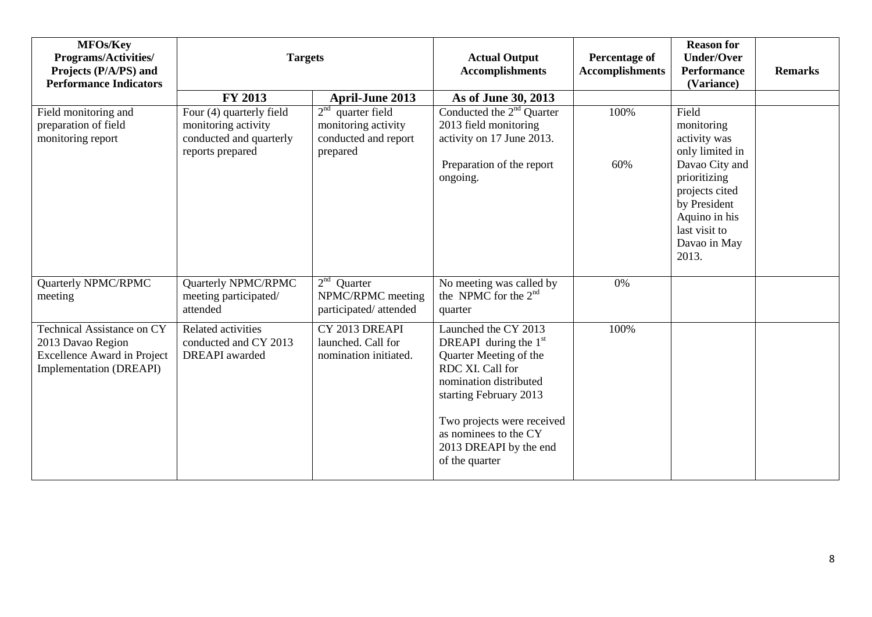| MFOs/Key<br>Programs/Activities/<br>Projects (P/A/PS) and<br><b>Performance Indicators</b>                              | <b>Targets</b>                                                                                 |                                                                                | <b>Actual Output</b><br><b>Accomplishments</b>                                                                                                                                                                                                       | <b>Percentage of</b><br><b>Accomplishments</b> | <b>Reason for</b><br><b>Under/Over</b><br><b>Performance</b><br>(Variance)                                                  | <b>Remarks</b> |
|-------------------------------------------------------------------------------------------------------------------------|------------------------------------------------------------------------------------------------|--------------------------------------------------------------------------------|------------------------------------------------------------------------------------------------------------------------------------------------------------------------------------------------------------------------------------------------------|------------------------------------------------|-----------------------------------------------------------------------------------------------------------------------------|----------------|
|                                                                                                                         | FY 2013                                                                                        | <b>April-June 2013</b>                                                         | As of June 30, 2013                                                                                                                                                                                                                                  |                                                |                                                                                                                             |                |
| Field monitoring and<br>preparation of field<br>monitoring report                                                       | Four (4) quarterly field<br>monitoring activity<br>conducted and quarterly<br>reports prepared | $2nd$ quarter field<br>monitoring activity<br>conducted and report<br>prepared | Conducted the $2nd$ Quarter<br>2013 field monitoring<br>activity on 17 June 2013.                                                                                                                                                                    | 100%                                           | Field<br>monitoring<br>activity was<br>only limited in                                                                      |                |
|                                                                                                                         |                                                                                                |                                                                                | Preparation of the report<br>ongoing.                                                                                                                                                                                                                | 60%                                            | Davao City and<br>prioritizing<br>projects cited<br>by President<br>Aquino in his<br>last visit to<br>Davao in May<br>2013. |                |
| Quarterly NPMC/RPMC<br>meeting                                                                                          | Quarterly NPMC/RPMC<br>meeting participated/<br>attended                                       | 2 <sup>nd</sup><br>Quarter<br>NPMC/RPMC meeting<br>participated/attended       | No meeting was called by<br>the NPMC for the 2 <sup>nd</sup><br>quarter                                                                                                                                                                              | 0%                                             |                                                                                                                             |                |
| <b>Technical Assistance on CY</b><br>2013 Davao Region<br><b>Excellence Award in Project</b><br>Implementation (DREAPI) | Related activities<br>conducted and CY 2013<br><b>DREAPI</b> awarded                           | CY 2013 DREAPI<br>launched. Call for<br>nomination initiated.                  | Launched the CY 2013<br>DREAPI during the $1st$<br>Quarter Meeting of the<br>RDC XI. Call for<br>nomination distributed<br>starting February 2013<br>Two projects were received<br>as nominees to the CY<br>2013 DREAPI by the end<br>of the quarter | 100%                                           |                                                                                                                             |                |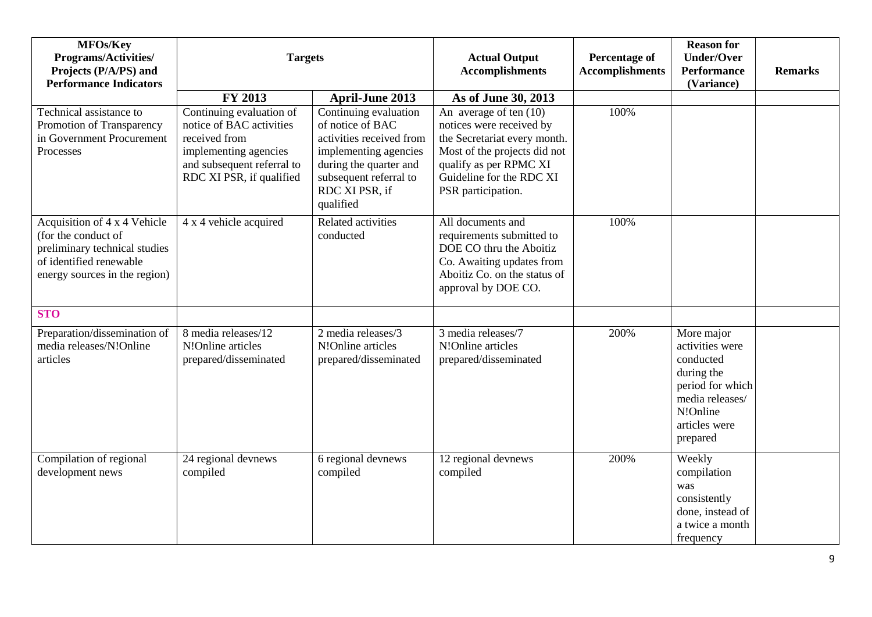| MFOs/Key<br><b>Programs/Activities/</b><br>Projects (P/A/PS) and<br><b>Performance Indicators</b>                                                | <b>Targets</b>                                                                                                                                           |                                                                                                                                                                                   | <b>Actual Output</b><br><b>Accomplishments</b>                                                                                                                                                   | <b>Percentage of</b><br><b>Accomplishments</b> | <b>Reason for</b><br><b>Under/Over</b><br><b>Performance</b><br>(Variance)                                                               | <b>Remarks</b> |
|--------------------------------------------------------------------------------------------------------------------------------------------------|----------------------------------------------------------------------------------------------------------------------------------------------------------|-----------------------------------------------------------------------------------------------------------------------------------------------------------------------------------|--------------------------------------------------------------------------------------------------------------------------------------------------------------------------------------------------|------------------------------------------------|------------------------------------------------------------------------------------------------------------------------------------------|----------------|
|                                                                                                                                                  | FY 2013                                                                                                                                                  | <b>April-June 2013</b>                                                                                                                                                            | As of June 30, 2013                                                                                                                                                                              |                                                |                                                                                                                                          |                |
| Technical assistance to<br>Promotion of Transparency<br>in Government Procurement<br>Processes                                                   | Continuing evaluation of<br>notice of BAC activities<br>received from<br>implementing agencies<br>and subsequent referral to<br>RDC XI PSR, if qualified | Continuing evaluation<br>of notice of BAC<br>activities received from<br>implementing agencies<br>during the quarter and<br>subsequent referral to<br>RDC XI PSR, if<br>qualified | An average of ten $(10)$<br>notices were received by<br>the Secretariat every month.<br>Most of the projects did not<br>qualify as per RPMC XI<br>Guideline for the RDC XI<br>PSR participation. | 100%                                           |                                                                                                                                          |                |
| Acquisition of 4 x 4 Vehicle<br>(for the conduct of<br>preliminary technical studies<br>of identified renewable<br>energy sources in the region) | 4 x 4 vehicle acquired                                                                                                                                   | Related activities<br>conducted                                                                                                                                                   | All documents and<br>requirements submitted to<br>DOE CO thru the Aboitiz<br>Co. Awaiting updates from<br>Aboitiz Co. on the status of<br>approval by DOE CO.                                    | 100%                                           |                                                                                                                                          |                |
| <b>STO</b>                                                                                                                                       |                                                                                                                                                          |                                                                                                                                                                                   |                                                                                                                                                                                                  |                                                |                                                                                                                                          |                |
| Preparation/dissemination of<br>media releases/N!Online<br>articles                                                                              | 8 media releases/12<br>N!Online articles<br>prepared/disseminated                                                                                        | 2 media releases/3<br>N!Online articles<br>prepared/disseminated                                                                                                                  | 3 media releases/7<br>N!Online articles<br>prepared/disseminated                                                                                                                                 | 200%                                           | More major<br>activities were<br>conducted<br>during the<br>period for which<br>media releases/<br>N!Online<br>articles were<br>prepared |                |
| Compilation of regional<br>development news                                                                                                      | 24 regional devnews<br>compiled                                                                                                                          | 6 regional devnews<br>compiled                                                                                                                                                    | 12 regional devnews<br>compiled                                                                                                                                                                  | 200%                                           | Weekly<br>compilation<br>was<br>consistently<br>done, instead of<br>a twice a month<br>frequency                                         |                |